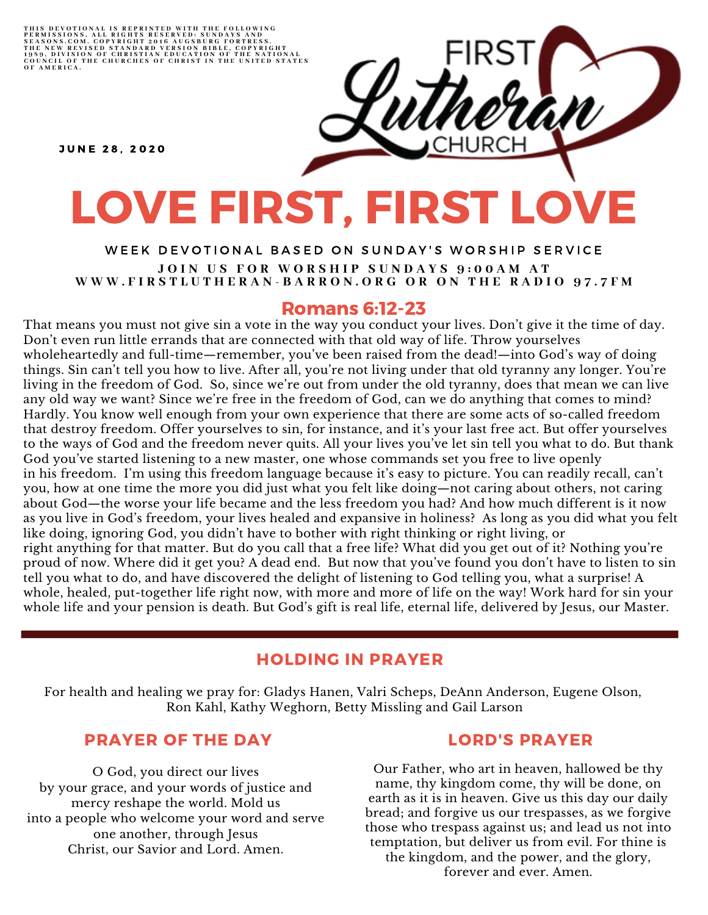THIS DEVOTIONAL IS REPRINTED WITH THE FOLLOWING<br>PERMISSIONS, ALL RIGHTS RESERVED: SUNDAYS AND<br>SEASONS.COM. COPYRIGHT 2016 AUGSBURG FORTRESS.<br>THE NEW REVISED STANDARD VERSION BIBLE, COPYRIGHT<br>1959, DIVISION OF CHRISTIAN EDU

**JUNE 28. 2020** 

# LOVE FIRST, FIRST LOVE

WEEK DEVOTIONAL BASED ON SUNDAY'S WORSHIP SERVICE JOIN US FOR WORSHIP SUNDAYS 9:00AM AT WWW.FIRSTLUTHERAN-BARRON.ORG OR ON THE RADIO 97.7FM

## Romans 6:12-23

That means you must not give sin a vote in the way you conduct your lives. Don't give it the time of day. Don't even run little errands that are connected with that old way of life. Throw yourselves wholeheartedly and full-time—remember, you've been raised from the dead!—into God's way of doing things. Sin can't tell you how to live. After all, you're not living under that old tyranny any longer. You're living in the freedom of God. So, since we're out from under the old tyranny, does that mean we can live any old way we want? Since we're free in the freedom of God, can we do anything that comes to mind? Hardly. You know well enough from your own experience that there are some acts of so-called freedom that destroy freedom. Offer yourselves to sin, for instance, and it's your last free act. But offer yourselves to the ways of God and the freedom never quits. All your lives you've let sin tell you what to do. But thank God you've started listening to a new master, one whose commands set you free to live openly in his freedom. I'm using this freedom language because it's easy to picture. You can readily recall, can't you, how at one time the more you did just what you felt like doing—not caring about others, not caring about God—the worse your life became and the less freedom you had? And how much different is it now as you live in God's freedom, your lives healed and expansive in holiness? As long as you did what you felt like doing, ignoring God, you didn't have to bother with right thinking or right living, or right anything for that matter. But do you call that a free life? What did you get out of it? Nothing you're proud of now. Where did it get you? A dead end. But now that you've found you don't have to listen to sin tell you what to do, and have discovered the delight of listening to God telling you, what a surprise! A whole, healed, put-together life right now, with more and more of life on the way! Work hard for sin your whole life and your pension is death. But God's gift is real life, eternal life, delivered by Jesus, our Master.

## HOLDING IN PRAYER

For health and healing we pray for: Gladys Hanen, Valri Scheps, DeAnn Anderson, Eugene Olson, Ron Kahl, Kathy Weghorn, Betty Missling and Gail Larson

## PRAYER OF THE DAY

O God, you direct our lives by your grace, and your words of justice and mercy reshape the world. Mold us into a people who welcome your word and serve one another, through Jesus Christ, our Savior and Lord. Amen.

#### LORD'S PRAYER

Our Father, who art in heaven, hallowed be thy name, thy kingdom come, thy will be done, on earth as it is in heaven. Give us this day our daily bread; and forgive us our trespasses, as we forgive those who trespass against us; and lead us not into temptation, but deliver us from evil. For thine is the kingdom, and the power, and the glory, forever and ever. Amen.